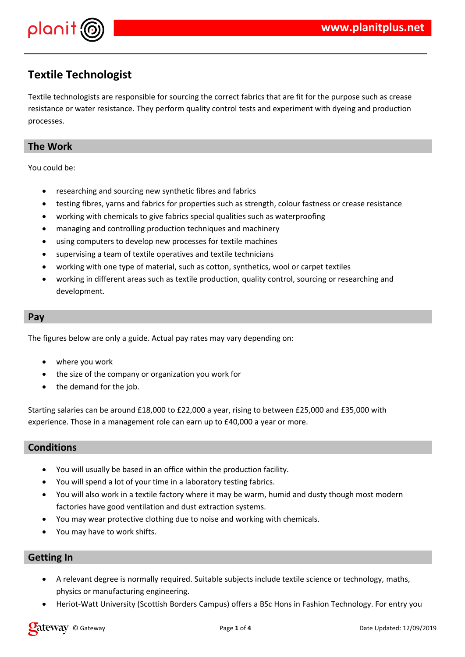

## **Textile Technologist**

Textile technologists are responsible for sourcing the correct fabrics that are fit for the purpose such as crease resistance or water resistance. They perform quality control tests and experiment with dyeing and production processes.

## **The Work**

You could be:

- researching and sourcing new synthetic fibres and fabrics
- testing fibres, yarns and fabrics for properties such as strength, colour fastness or crease resistance
- working with chemicals to give fabrics special qualities such as waterproofing
- managing and controlling production techniques and machinery
- using computers to develop new processes for textile machines
- supervising a team of textile operatives and textile technicians
- working with one type of material, such as cotton, synthetics, wool or carpet textiles
- working in different areas such as textile production, quality control, sourcing or researching and development.

#### **Pay**

The figures below are only a guide. Actual pay rates may vary depending on:

- where you work
- the size of the company or organization you work for
- the demand for the job.

Starting salaries can be around £18,000 to £22,000 a year, rising to between £25,000 and £35,000 with experience. Those in a management role can earn up to £40,000 a year or more.

### **Conditions**

- You will usually be based in an office within the production facility.
- You will spend a lot of your time in a laboratory testing fabrics.
- You will also work in a textile factory where it may be warm, humid and dusty though most modern factories have good ventilation and dust extraction systems.
- You may wear protective clothing due to noise and working with chemicals.
- You may have to work shifts.

### **Getting In**

- A relevant degree is normally required. Suitable subjects include textile science or technology, maths, physics or manufacturing engineering.
- Heriot-Watt University (Scottish Borders Campus) offers a BSc Hons in Fashion Technology. For entry you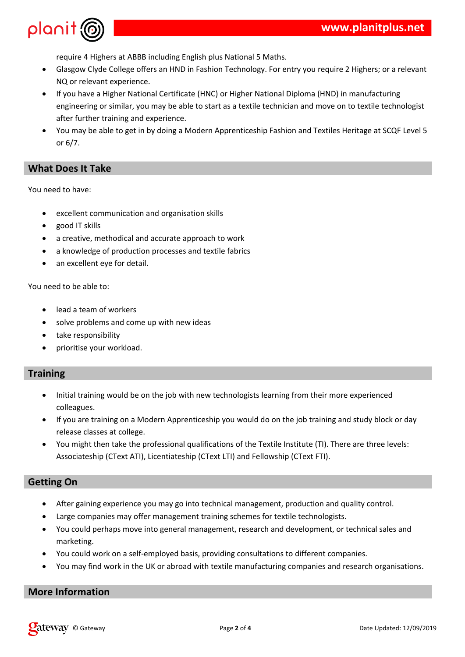

require 4 Highers at ABBB including English plus National 5 Maths.

- Glasgow Clyde College offers an HND in Fashion Technology. For entry you require 2 Highers; or a relevant NQ or relevant experience.
- If you have a Higher National Certificate (HNC) or Higher National Diploma (HND) in manufacturing engineering or similar, you may be able to start as a textile technician and move on to textile technologist after further training and experience.
- You may be able to get in by doing a Modern Apprenticeship Fashion and Textiles Heritage at SCQF Level 5 or 6/7.

### **What Does It Take**

You need to have:

- excellent communication and organisation skills
- good IT skills
- a creative, methodical and accurate approach to work
- a knowledge of production processes and textile fabrics
- an excellent eye for detail.

You need to be able to:

- lead a team of workers
- solve problems and come up with new ideas
- take responsibility
- prioritise your workload.

### **Training**

- Initial training would be on the job with new technologists learning from their more experienced colleagues.
- If you are training on a Modern Apprenticeship you would do on the job training and study block or day release classes at college.
- You might then take the professional qualifications of the Textile Institute (TI). There are three levels: Associateship (CText ATI), Licentiateship (CText LTI) and Fellowship (CText FTI).

### **Getting On**

- After gaining experience you may go into technical management, production and quality control.
- Large companies may offer management training schemes for textile technologists.
- You could perhaps move into general management, research and development, or technical sales and marketing.
- You could work on a self-employed basis, providing consultations to different companies.
- You may find work in the UK or abroad with textile manufacturing companies and research organisations.

#### **More Information**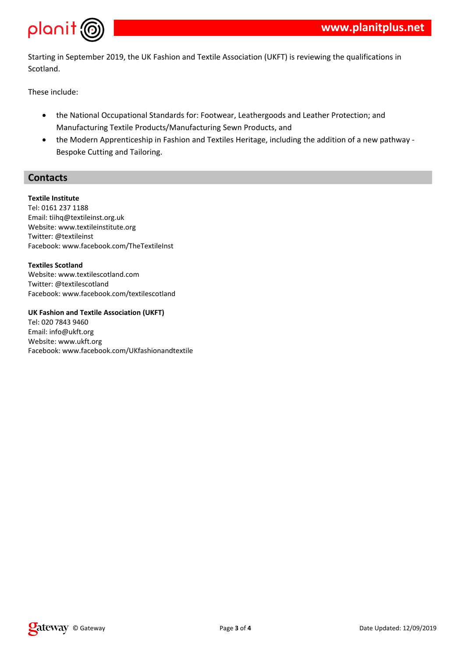

Starting in September 2019, the UK Fashion and Textile Association (UKFT) is reviewing the qualifications in Scotland.

These include:

- the National Occupational Standards for: Footwear, Leathergoods and Leather Protection; and Manufacturing Textile Products/Manufacturing Sewn Products, and
- the Modern Apprenticeship in Fashion and Textiles Heritage, including the addition of a new pathway Bespoke Cutting and Tailoring.

### **Contacts**

#### **Textile Institute**

Tel: 0161 237 1188 Email: tiihq@textileinst.org.uk Website: www.textileinstitute.org Twitter: @textileinst Facebook: www.facebook.com/TheTextileInst

**Textiles Scotland** Website: www.textilescotland.com Twitter: @textilescotland Facebook: www.facebook.com/textilescotland

#### **UK Fashion and Textile Association (UKFT)**

Tel: 020 7843 9460 Email: info@ukft.org Website: www.ukft.org Facebook: www.facebook.com/UKfashionandtextile